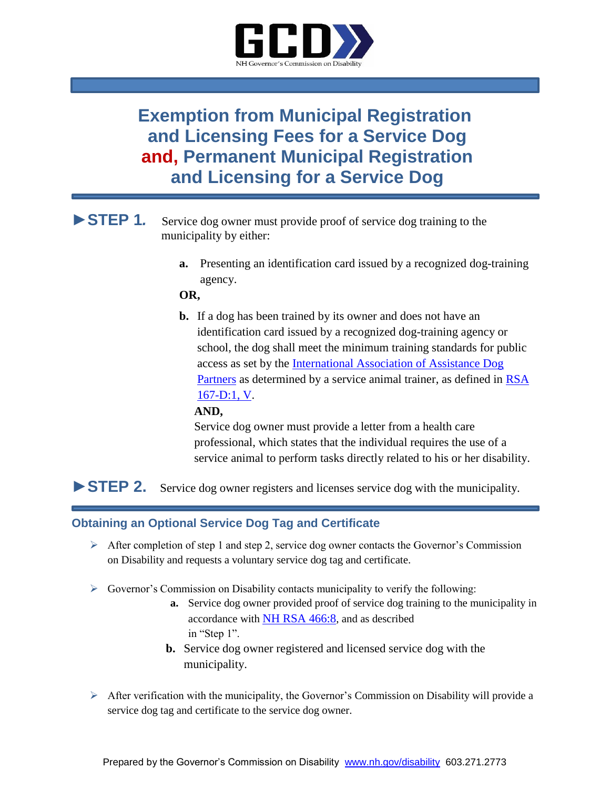

# **Exemption from Municipal Registration and Licensing Fees for a Service Dog and, Permanent Municipal Registration and Licensing for a Service Dog**

# **►STEP 1***.* Service dog owner must provide proof of service dog training to the municipality by either:

**a.** Presenting an identification card issued by a recognized dog-training agency.

### **OR,**

**b.** If a dog has been trained by its owner and does not have an identification card issued by a recognized dog-training agency or school, the dog shall meet the minimum training standards for public access as set by the [International Association of Assistance Dog](https://www.iaadp.org/iaadp-minimum-training-standards-for-public-access.html)  [Partners](https://www.iaadp.org/iaadp-minimum-training-standards-for-public-access.html) as determined by a service animal trainer, as defined in [RSA](http://www.gencourt.state.nh.us/rsa/html/xii/167-d/167-d-mrg.htm)  [167-D:1, V.](http://www.gencourt.state.nh.us/rsa/html/xii/167-d/167-d-mrg.htm)

## **AND,**

 Service dog owner must provide a letter from a health care professional, which states that the individual requires the use of a service animal to perform tasks directly related to his or her disability.

# **►STEP 2.** Service dog owner registers and licenses service dog with the municipality.

## **Obtaining an Optional Service Dog Tag and Certificate**

- $\triangleright$  After completion of step 1 and step 2, service dog owner contacts the Governor's Commission on Disability and requests a voluntary service dog tag and certificate.
- $\triangleright$  Governor's Commission on Disability contacts municipality to verify the following:
	- **a.** Service dog owner provided proof of service dog training to the municipality in accordance with [NH RSA 466:8](http://www.gencourt.state.nh.us/rsa/html/xlv/466/466-8.htm), and as described in "Step 1".
	- **b.** Service dog owner registered and licensed service dog with the municipality.
- $\triangleright$  After verification with the municipality, the Governor's Commission on Disability will provide a service dog tag and certificate to the service dog owner.